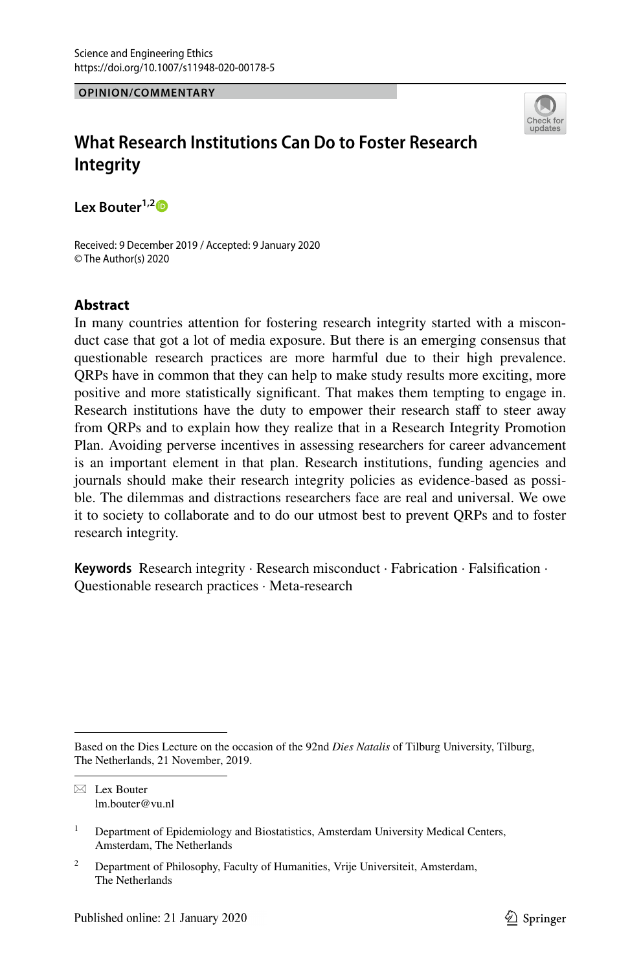#### **OPINION/COMMENTARY**



# **What Research Institutions Can Do to Foster Research Integrity**

**Lex Bouter1,[2](http://orcid.org/0000-0002-2659-5482)**

Received: 9 December 2019 / Accepted: 9 January 2020 © The Author(s) 2020

#### **Abstract**

In many countries attention for fostering research integrity started with a misconduct case that got a lot of media exposure. But there is an emerging consensus that questionable research practices are more harmful due to their high prevalence. QRPs have in common that they can help to make study results more exciting, more positive and more statistically signifcant. That makes them tempting to engage in. Research institutions have the duty to empower their research staff to steer away from QRPs and to explain how they realize that in a Research Integrity Promotion Plan. Avoiding perverse incentives in assessing researchers for career advancement is an important element in that plan. Research institutions, funding agencies and journals should make their research integrity policies as evidence-based as possible. The dilemmas and distractions researchers face are real and universal. We owe it to society to collaborate and to do our utmost best to prevent QRPs and to foster research integrity.

**Keywords** Research integrity · Research misconduct · Fabrication · Falsifcation · Questionable research practices · Meta-research

Based on the Dies Lecture on the occasion of the 92nd *Dies Natalis* of Tilburg University, Tilburg, The Netherlands, 21 November, 2019.

 $\boxtimes$  Lex Bouter lm.bouter@vu.nl

<sup>&</sup>lt;sup>1</sup> Department of Epidemiology and Biostatistics, Amsterdam University Medical Centers, Amsterdam, The Netherlands

<sup>&</sup>lt;sup>2</sup> Department of Philosophy, Faculty of Humanities, Vrije Universiteit, Amsterdam, The Netherlands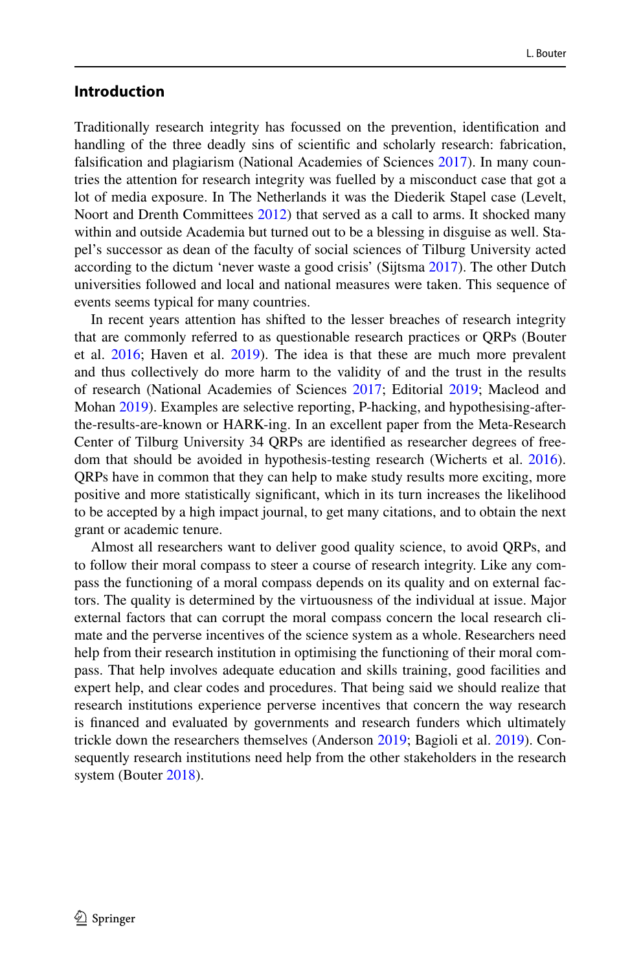#### **Introduction**

Traditionally research integrity has focussed on the prevention, identifcation and handling of the three deadly sins of scientifc and scholarly research: fabrication, falsifcation and plagiarism (National Academies of Sciences [2017\)](#page-5-0). In many countries the attention for research integrity was fuelled by a misconduct case that got a lot of media exposure. In The Netherlands it was the Diederik Stapel case (Levelt, Noort and Drenth Committees [2012\)](#page-5-1) that served as a call to arms. It shocked many within and outside Academia but turned out to be a blessing in disguise as well. Stapel's successor as dean of the faculty of social sciences of Tilburg University acted according to the dictum 'never waste a good crisis' (Sijtsma [2017](#page-6-0)). The other Dutch universities followed and local and national measures were taken. This sequence of events seems typical for many countries.

In recent years attention has shifted to the lesser breaches of research integrity that are commonly referred to as questionable research practices or QRPs (Bouter et al. [2016](#page-5-2); Haven et al. [2019](#page-5-3)). The idea is that these are much more prevalent and thus collectively do more harm to the validity of and the trust in the results of research (National Academies of Sciences [2017](#page-5-0); Editorial [2019](#page-5-4); Macleod and Mohan [2019\)](#page-5-5). Examples are selective reporting, P-hacking, and hypothesising-afterthe-results-are-known or HARK-ing. In an excellent paper from the Meta-Research Center of Tilburg University 34 QRPs are identifed as researcher degrees of freedom that should be avoided in hypothesis-testing research (Wicherts et al. [2016\)](#page-6-1). QRPs have in common that they can help to make study results more exciting, more positive and more statistically signifcant, which in its turn increases the likelihood to be accepted by a high impact journal, to get many citations, and to obtain the next grant or academic tenure.

Almost all researchers want to deliver good quality science, to avoid QRPs, and to follow their moral compass to steer a course of research integrity. Like any compass the functioning of a moral compass depends on its quality and on external factors. The quality is determined by the virtuousness of the individual at issue. Major external factors that can corrupt the moral compass concern the local research climate and the perverse incentives of the science system as a whole. Researchers need help from their research institution in optimising the functioning of their moral compass. That help involves adequate education and skills training, good facilities and expert help, and clear codes and procedures. That being said we should realize that research institutions experience perverse incentives that concern the way research is fnanced and evaluated by governments and research funders which ultimately trickle down the researchers themselves (Anderson [2019](#page-5-6); Bagioli et al. [2019\)](#page-5-7). Consequently research institutions need help from the other stakeholders in the research system (Bouter [2018](#page-5-8)).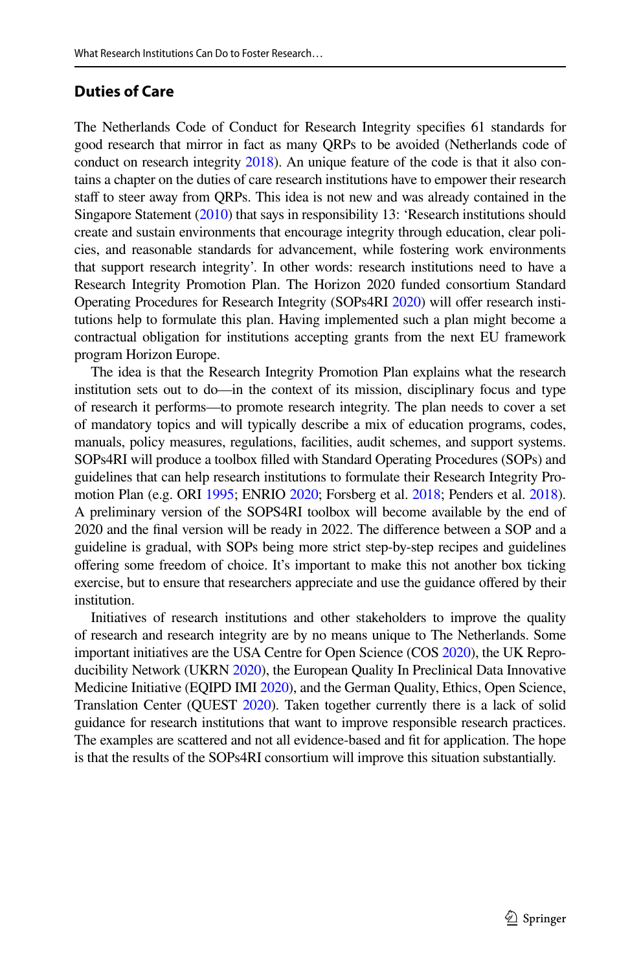## **Duties of Care**

The Netherlands Code of Conduct for Research Integrity specifes 61 standards for good research that mirror in fact as many QRPs to be avoided (Netherlands code of conduct on research integrity [2018\)](#page-5-9). An unique feature of the code is that it also contains a chapter on the duties of care research institutions have to empower their research staff to steer away from QRPs. This idea is not new and was already contained in the Singapore Statement ([2010](#page-6-2)) that says in responsibility 13: 'Research institutions should create and sustain environments that encourage integrity through education, clear policies, and reasonable standards for advancement, while fostering work environments that support research integrity'. In other words: research institutions need to have a Research Integrity Promotion Plan. The Horizon 2020 funded consortium Standard Operating Procedures for Research Integrity (SOPs4RI [2020\)](#page-6-3) will ofer research institutions help to formulate this plan. Having implemented such a plan might become a contractual obligation for institutions accepting grants from the next EU framework program Horizon Europe.

The idea is that the Research Integrity Promotion Plan explains what the research institution sets out to do—in the context of its mission, disciplinary focus and type of research it performs—to promote research integrity. The plan needs to cover a set of mandatory topics and will typically describe a mix of education programs, codes, manuals, policy measures, regulations, facilities, audit schemes, and support systems. SOPs4RI will produce a toolbox flled with Standard Operating Procedures (SOPs) and guidelines that can help research institutions to formulate their Research Integrity Promotion Plan (e.g. ORI [1995;](#page-5-10) ENRIO [2020](#page-5-11); Forsberg et al. [2018](#page-5-12); Penders et al. [2018\)](#page-5-13). A preliminary version of the SOPS4RI toolbox will become available by the end of 2020 and the fnal version will be ready in 2022. The diference between a SOP and a guideline is gradual, with SOPs being more strict step-by-step recipes and guidelines offering some freedom of choice. It's important to make this not another box ticking exercise, but to ensure that researchers appreciate and use the guidance ofered by their institution.

Initiatives of research institutions and other stakeholders to improve the quality of research and research integrity are by no means unique to The Netherlands. Some important initiatives are the USA Centre for Open Science (COS [2020\)](#page-6-4), the UK Reproducibility Network (UKRN [2020](#page-6-5)), the European Quality In Preclinical Data Innovative Medicine Initiative (EQIPD IMI [2020\)](#page-6-6), and the German Quality, Ethics, Open Science, Translation Center (QUEST [2020\)](#page-6-7). Taken together currently there is a lack of solid guidance for research institutions that want to improve responsible research practices. The examples are scattered and not all evidence-based and ft for application. The hope is that the results of the SOPs4RI consortium will improve this situation substantially.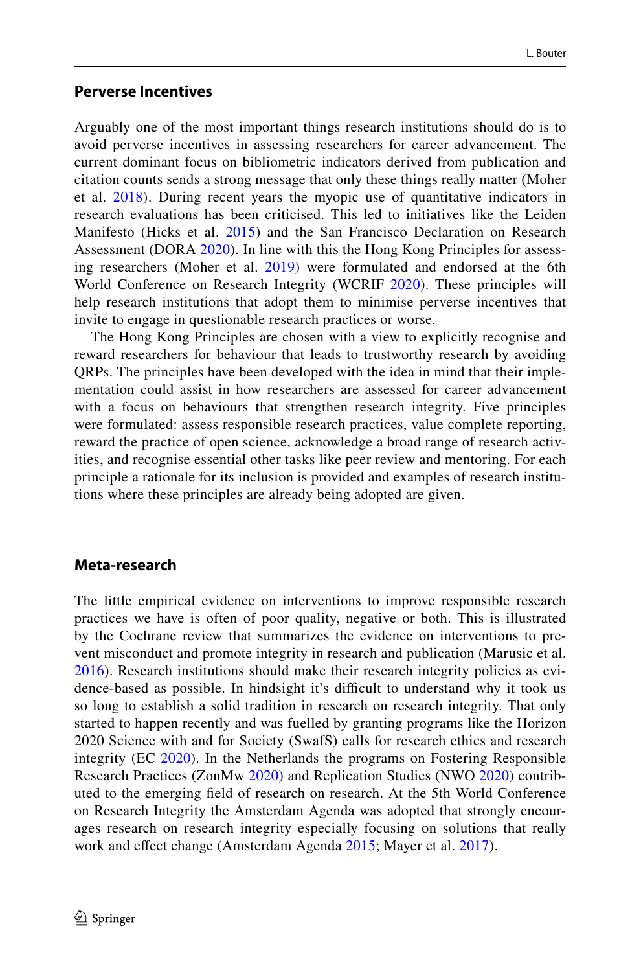#### **Perverse Incentives**

Arguably one of the most important things research institutions should do is to avoid perverse incentives in assessing researchers for career advancement. The current dominant focus on bibliometric indicators derived from publication and citation counts sends a strong message that only these things really matter (Moher et al. [2018](#page-5-14)). During recent years the myopic use of quantitative indicators in research evaluations has been criticised. This led to initiatives like the Leiden Manifesto (Hicks et al. [2015](#page-5-15)) and the San Francisco Declaration on Research Assessment (DORA [2020\)](#page-6-8). In line with this the Hong Kong Principles for assessing researchers (Moher et al. [2019](#page-5-16)) were formulated and endorsed at the 6th World Conference on Research Integrity (WCRIF [2020](#page-6-9)). These principles will help research institutions that adopt them to minimise perverse incentives that invite to engage in questionable research practices or worse.

The Hong Kong Principles are chosen with a view to explicitly recognise and reward researchers for behaviour that leads to trustworthy research by avoiding QRPs. The principles have been developed with the idea in mind that their implementation could assist in how researchers are assessed for career advancement with a focus on behaviours that strengthen research integrity. Five principles were formulated: assess responsible research practices, value complete reporting, reward the practice of open science, acknowledge a broad range of research activities, and recognise essential other tasks like peer review and mentoring. For each principle a rationale for its inclusion is provided and examples of research institutions where these principles are already being adopted are given.

## **Meta‑research**

The little empirical evidence on interventions to improve responsible research practices we have is often of poor quality, negative or both. This is illustrated by the Cochrane review that summarizes the evidence on interventions to prevent misconduct and promote integrity in research and publication (Marusic et al. [2016\)](#page-5-17). Research institutions should make their research integrity policies as evidence-based as possible. In hindsight it's difficult to understand why it took us so long to establish a solid tradition in research on research integrity. That only started to happen recently and was fuelled by granting programs like the Horizon 2020 Science with and for Society (SwafS) calls for research ethics and research integrity (EC [2020\)](#page-6-10). In the Netherlands the programs on Fostering Responsible Research Practices (ZonMw [2020](#page-6-11)) and Replication Studies (NWO [2020](#page-6-12)) contributed to the emerging feld of research on research. At the 5th World Conference on Research Integrity the Amsterdam Agenda was adopted that strongly encourages research on research integrity especially focusing on solutions that really work and efect change (Amsterdam Agenda [2015;](#page-5-18) Mayer et al. [2017\)](#page-5-19).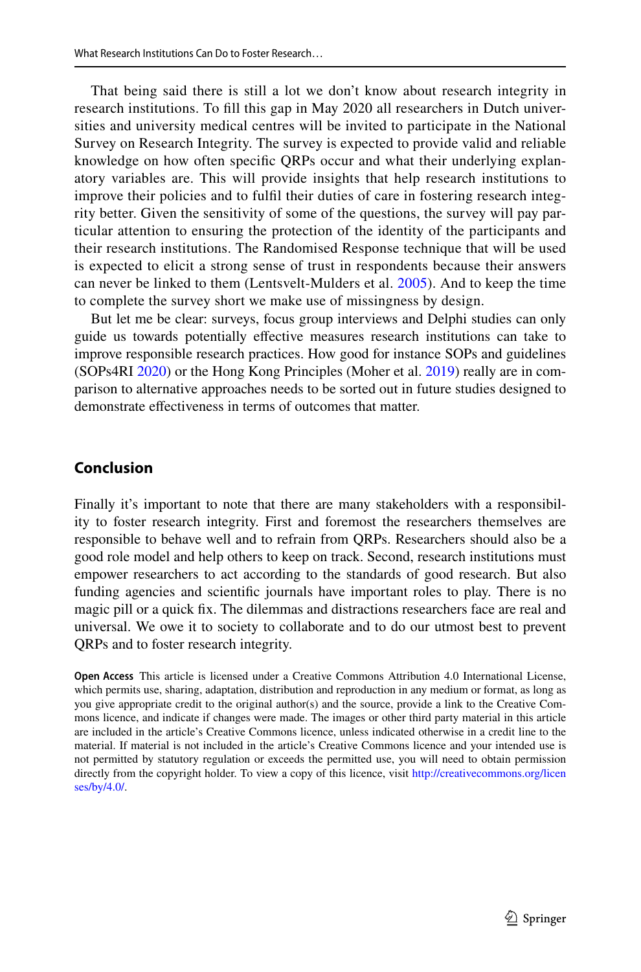That being said there is still a lot we don't know about research integrity in research institutions. To fll this gap in May 2020 all researchers in Dutch universities and university medical centres will be invited to participate in the National Survey on Research Integrity. The survey is expected to provide valid and reliable knowledge on how often specifc QRPs occur and what their underlying explanatory variables are. This will provide insights that help research institutions to improve their policies and to fulfl their duties of care in fostering research integrity better. Given the sensitivity of some of the questions, the survey will pay particular attention to ensuring the protection of the identity of the participants and their research institutions. The Randomised Response technique that will be used is expected to elicit a strong sense of trust in respondents because their answers can never be linked to them (Lentsvelt-Mulders et al. [2005](#page-5-20)). And to keep the time to complete the survey short we make use of missingness by design.

But let me be clear: surveys, focus group interviews and Delphi studies can only guide us towards potentially efective measures research institutions can take to improve responsible research practices. How good for instance SOPs and guidelines (SOPs4RI [2020](#page-6-3)) or the Hong Kong Principles (Moher et al. [2019\)](#page-5-16) really are in comparison to alternative approaches needs to be sorted out in future studies designed to demonstrate efectiveness in terms of outcomes that matter.

# **Conclusion**

Finally it's important to note that there are many stakeholders with a responsibility to foster research integrity. First and foremost the researchers themselves are responsible to behave well and to refrain from QRPs. Researchers should also be a good role model and help others to keep on track. Second, research institutions must empower researchers to act according to the standards of good research. But also funding agencies and scientifc journals have important roles to play. There is no magic pill or a quick fx. The dilemmas and distractions researchers face are real and universal. We owe it to society to collaborate and to do our utmost best to prevent QRPs and to foster research integrity.

**Open Access** This article is licensed under a Creative Commons Attribution 4.0 International License, which permits use, sharing, adaptation, distribution and reproduction in any medium or format, as long as you give appropriate credit to the original author(s) and the source, provide a link to the Creative Commons licence, and indicate if changes were made. The images or other third party material in this article are included in the article's Creative Commons licence, unless indicated otherwise in a credit line to the material. If material is not included in the article's Creative Commons licence and your intended use is not permitted by statutory regulation or exceeds the permitted use, you will need to obtain permission directly from the copyright holder. To view a copy of this licence, visit [http://creativecommons.org/licen](http://creativecommons.org/licenses/by/4.0/) [ses/by/4.0/](http://creativecommons.org/licenses/by/4.0/).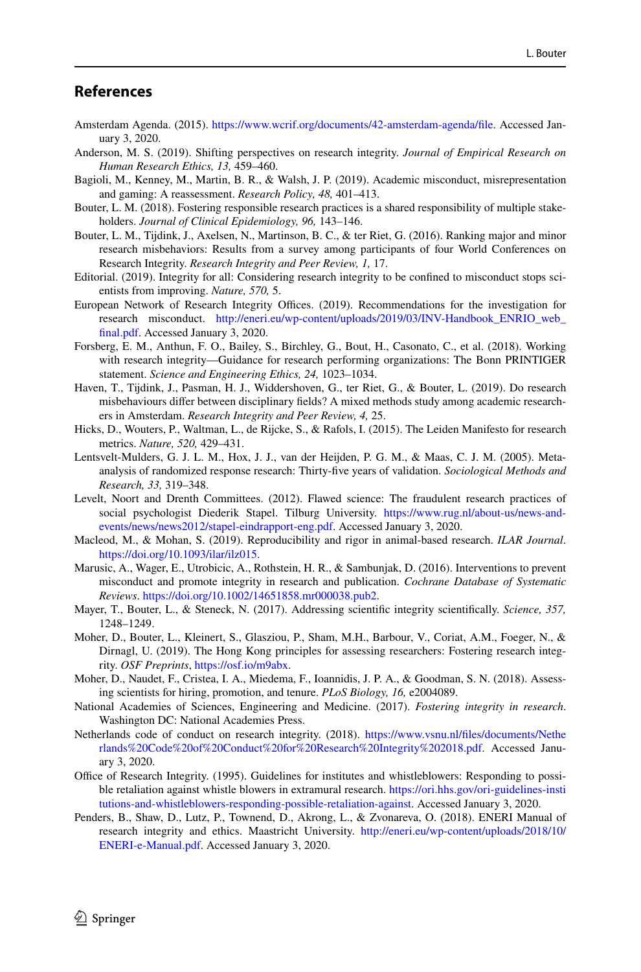## **References**

- <span id="page-5-18"></span>Amsterdam Agenda. (2015). [https://www.wcrif.org/documents/42-amsterdam-agenda/fle](https://www.wcrif.org/documents/42-amsterdam-agenda/file). Accessed January 3, 2020.
- <span id="page-5-6"></span>Anderson, M. S. (2019). Shifting perspectives on research integrity. *Journal of Empirical Research on Human Research Ethics, 13,* 459–460.
- <span id="page-5-7"></span>Bagioli, M., Kenney, M., Martin, B. R., & Walsh, J. P. (2019). Academic misconduct, misrepresentation and gaming: A reassessment. *Research Policy, 48,* 401–413.
- <span id="page-5-8"></span>Bouter, L. M. (2018). Fostering responsible research practices is a shared responsibility of multiple stakeholders. *Journal of Clinical Epidemiology, 96,* 143–146.
- <span id="page-5-2"></span>Bouter, L. M., Tijdink, J., Axelsen, N., Martinson, B. C., & ter Riet, G. (2016). Ranking major and minor research misbehaviors: Results from a survey among participants of four World Conferences on Research Integrity. *Research Integrity and Peer Review, 1,* 17.
- <span id="page-5-4"></span>Editorial. (2019). Integrity for all: Considering research integrity to be confned to misconduct stops scientists from improving. *Nature, 570,* 5.
- <span id="page-5-11"></span>European Network of Research Integrity Offices. (2019). Recommendations for the investigation for research misconduct. [http://eneri.eu/wp-content/uploads/2019/03/INV-Handbook\\_ENRIO\\_web\\_](http://eneri.eu/wp-content/uploads/2019/03/INV-Handbook_ENRIO_web_final.pdf) [fnal.pdf.](http://eneri.eu/wp-content/uploads/2019/03/INV-Handbook_ENRIO_web_final.pdf) Accessed January 3, 2020.
- <span id="page-5-12"></span>Forsberg, E. M., Anthun, F. O., Bailey, S., Birchley, G., Bout, H., Casonato, C., et al. (2018). Working with research integrity—Guidance for research performing organizations: The Bonn PRINTIGER statement. *Science and Engineering Ethics, 24,* 1023–1034.
- <span id="page-5-3"></span>Haven, T., Tijdink, J., Pasman, H. J., Widdershoven, G., ter Riet, G., & Bouter, L. (2019). Do research misbehaviours difer between disciplinary felds? A mixed methods study among academic researchers in Amsterdam. *Research Integrity and Peer Review, 4,* 25.
- <span id="page-5-15"></span>Hicks, D., Wouters, P., Waltman, L., de Rijcke, S., & Rafols, I. (2015). The Leiden Manifesto for research metrics. *Nature, 520,* 429–431.
- <span id="page-5-20"></span>Lentsvelt-Mulders, G. J. L. M., Hox, J. J., van der Heijden, P. G. M., & Maas, C. J. M. (2005). Metaanalysis of randomized response research: Thirty-fve years of validation. *Sociological Methods and Research, 33,* 319–348.
- <span id="page-5-1"></span>Levelt, Noort and Drenth Committees. (2012). Flawed science: The fraudulent research practices of social psychologist Diederik Stapel. Tilburg University. [https://www.rug.nl/about-us/news-and](https://www.rug.nl/about-us/news-and-events/news/news2012/stapel-eindrapport-eng.pdf)[events/news/news2012/stapel-eindrapport-eng.pdf](https://www.rug.nl/about-us/news-and-events/news/news2012/stapel-eindrapport-eng.pdf). Accessed January 3, 2020.
- <span id="page-5-5"></span>Macleod, M., & Mohan, S. (2019). Reproducibility and rigor in animal-based research. *ILAR Journal*. <https://doi.org/10.1093/ilar/ilz015>.
- <span id="page-5-17"></span>Marusic, A., Wager, E., Utrobicic, A., Rothstein, H. R., & Sambunjak, D. (2016). Interventions to prevent misconduct and promote integrity in research and publication. *Cochrane Database of Systematic Reviews*. <https://doi.org/10.1002/14651858.mr000038.pub2>.
- <span id="page-5-19"></span>Mayer, T., Bouter, L., & Steneck, N. (2017). Addressing scientifc integrity scientifcally. *Science, 357,* 1248–1249.
- <span id="page-5-16"></span>Moher, D., Bouter, L., Kleinert, S., Glasziou, P., Sham, M.H., Barbour, V., Coriat, A.M., Foeger, N., & Dirnagl, U. (2019). The Hong Kong principles for assessing researchers: Fostering research integrity. *OSF Preprints*, [https://osf.io/m9abx.](https://osf.io/m9abx)
- <span id="page-5-14"></span>Moher, D., Naudet, F., Cristea, I. A., Miedema, F., Ioannidis, J. P. A., & Goodman, S. N. (2018). Assessing scientists for hiring, promotion, and tenure. *PLoS Biology, 16,* e2004089.
- <span id="page-5-0"></span>National Academies of Sciences, Engineering and Medicine. (2017). *Fostering integrity in research*. Washington DC: National Academies Press.
- <span id="page-5-9"></span>Netherlands code of conduct on research integrity. (2018). [https://www.vsnu.nl/fles/documents/Nethe](https://www.vsnu.nl/files/documents/Netherlands%20Code%20of%20Conduct%20for%20Research%20Integrity%202018.pdf) [rlands%20Code%20of%20Conduct%20for%20Research%20Integrity%202018.pdf.](https://www.vsnu.nl/files/documents/Netherlands%20Code%20of%20Conduct%20for%20Research%20Integrity%202018.pdf) Accessed January 3, 2020.
- <span id="page-5-10"></span>Office of Research Integrity. (1995). Guidelines for institutes and whistleblowers: Responding to possible retaliation against whistle blowers in extramural research. [https://ori.hhs.gov/ori-guidelines-insti](https://ori.hhs.gov/ori-guidelines-institutions-and-whistleblowers-responding-possible-retaliation-against) [tutions-and-whistleblowers-responding-possible-retaliation-against](https://ori.hhs.gov/ori-guidelines-institutions-and-whistleblowers-responding-possible-retaliation-against). Accessed January 3, 2020.
- <span id="page-5-13"></span>Penders, B., Shaw, D., Lutz, P., Townend, D., Akrong, L., & Zvonareva, O. (2018). ENERI Manual of research integrity and ethics. Maastricht University. [http://eneri.eu/wp-content/uploads/2018/10/](http://eneri.eu/wp-content/uploads/2018/10/ENERI-e-Manual.pdf) [ENERI-e-Manual.pdf.](http://eneri.eu/wp-content/uploads/2018/10/ENERI-e-Manual.pdf) Accessed January 3, 2020.